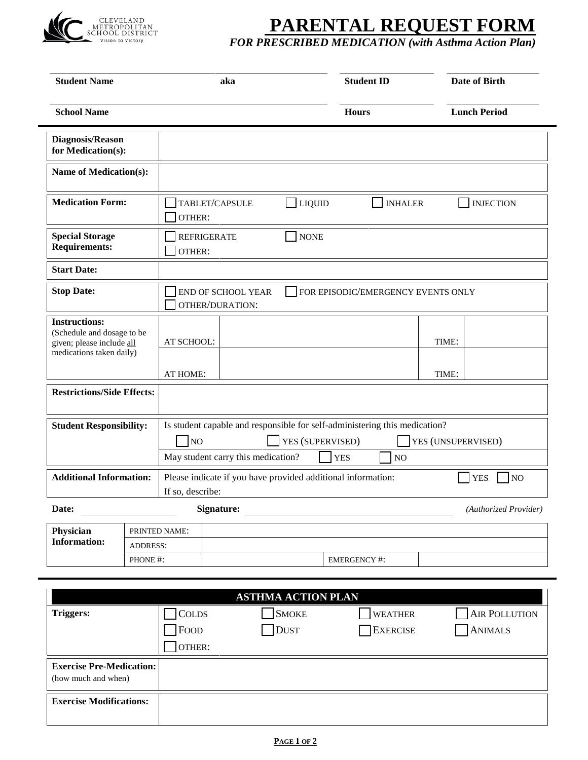

## **PARENTAL REQUEST FORM**

*FOR PRESCRIBED MEDICATION (with Asthma Action Plan)* 

| <b>Student Name</b>                                                                                         |  | aka                                                                                                                                                                                              |  | <b>Student ID</b> |                    | Date of Birth |                              |
|-------------------------------------------------------------------------------------------------------------|--|--------------------------------------------------------------------------------------------------------------------------------------------------------------------------------------------------|--|-------------------|--------------------|---------------|------------------------------|
| <b>School Name</b>                                                                                          |  |                                                                                                                                                                                                  |  |                   | <b>Hours</b>       |               | <b>Lunch Period</b>          |
| <b>Diagnosis/Reason</b><br>for Medication(s):                                                               |  |                                                                                                                                                                                                  |  |                   |                    |               |                              |
| Name of Medication(s):                                                                                      |  |                                                                                                                                                                                                  |  |                   |                    |               |                              |
| <b>Medication Form:</b>                                                                                     |  | TABLET/CAPSULE<br>LIQUID<br><b>INHALER</b><br><b>INJECTION</b><br>OTHER:                                                                                                                         |  |                   |                    |               |                              |
| <b>Special Storage</b><br><b>Requirements:</b>                                                              |  | <b>REFRIGERATE</b><br>OTHER:                                                                                                                                                                     |  | <b>NONE</b>       |                    |               |                              |
| <b>Start Date:</b>                                                                                          |  |                                                                                                                                                                                                  |  |                   |                    |               |                              |
| <b>Stop Date:</b>                                                                                           |  | END OF SCHOOL YEAR<br>FOR EPISODIC/EMERGENCY EVENTS ONLY<br>OTHER/DURATION:                                                                                                                      |  |                   |                    |               |                              |
| <b>Instructions:</b><br>(Schedule and dosage to be<br>given; please include all<br>medications taken daily) |  | AT SCHOOL:                                                                                                                                                                                       |  |                   |                    | TIME:         |                              |
|                                                                                                             |  | AT HOME:                                                                                                                                                                                         |  |                   |                    | TIME:         |                              |
| <b>Restrictions/Side Effects:</b>                                                                           |  |                                                                                                                                                                                                  |  |                   |                    |               |                              |
| <b>Student Responsibility:</b>                                                                              |  | Is student capable and responsible for self-administering this medication?<br>YES (SUPERVISED)<br>N <sub>0</sub><br>YES (UNSUPERVISED)<br>May student carry this medication?<br><b>YES</b><br>NO |  |                   |                    |               |                              |
| <b>Additional Information:</b>                                                                              |  | Please indicate if you have provided additional information:<br>If so, describe:                                                                                                                 |  |                   |                    |               | <b>YES</b><br>N <sub>O</sub> |
| Date:                                                                                                       |  | <b>Signature:</b>                                                                                                                                                                                |  |                   |                    |               | (Authorized Provider)        |
| Physician                                                                                                   |  | PRINTED NAME:                                                                                                                                                                                    |  |                   |                    |               |                              |
| <b>Information:</b><br><b>ADDRESS:</b><br>PHONE #:                                                          |  |                                                                                                                                                                                                  |  |                   | <b>EMERGENCY#:</b> |               |                              |

| <b>ASTHMA ACTION PLAN</b>                              |               |              |                |                |  |  |
|--------------------------------------------------------|---------------|--------------|----------------|----------------|--|--|
| <b>Triggers:</b>                                       | <b>COLDS</b>  | <b>SMOKE</b> | <b>WEATHER</b> | AIR POLLUTION  |  |  |
|                                                        | $\n  Proof\n$ | <b>DUST</b>  | EXERCISE       | <b>ANIMALS</b> |  |  |
|                                                        | OTHER:        |              |                |                |  |  |
| <b>Exercise Pre-Medication:</b><br>(how much and when) |               |              |                |                |  |  |
| <b>Exercise Modifications:</b>                         |               |              |                |                |  |  |
|                                                        |               |              |                |                |  |  |